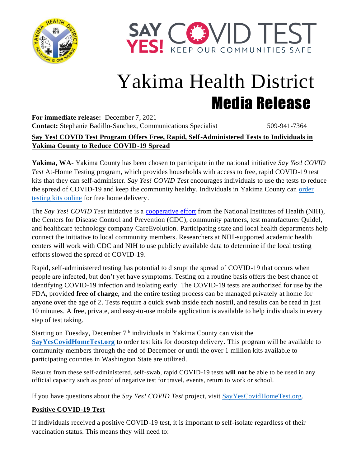



# Yakima Health District Media Release

**For immediate release:** December 7, 2021 **Contact:** Stephanie Badillo-Sanchez, Communications Specialist 509-941-7364

#### **Say Yes! COVID Test Program Offers Free, Rapid, Self-Administered Tests to Individuals in Yakima County to Reduce COVID-19 Spread**

**Yakima, WA**- Yakima County has been chosen to participate in the national initiative *Say Yes! COVID Test* At-Home Testing program, which provides households with access to free, rapid COVID-19 test kits that they can self-administer. *Say Yes! COVID Test* encourages individuals to use the tests to reduce the spread of COVID-19 and keep the community healthy. Individuals in Yakima County can [order](https://sayyescovidhometest.org/)  [testing kits online](https://sayyescovidhometest.org/) for free home delivery.

The *Say Yes! COVID Test* initiative is a [cooperative effort](https://www.nih.gov/news-events/news-releases/cdc-nih-bring-covid-19-self-testing-residents-two-locales) from the National Institutes of Health (NIH), the Centers for Disease Control and Prevention (CDC), community partners, test manufacturer Quidel, and healthcare technology company CareEvolution. Participating state and local health departments help connect the initiative to local community members. Researchers at NIH-supported academic health centers will work with CDC and NIH to use publicly available data to determine if the local testing efforts slowed the spread of COVID-19.

Rapid, self-administered testing has potential to disrupt the spread of COVID-19 that occurs when people are infected, but don't yet have symptoms. Testing on a routine basis offers the best chance of identifying COVID-19 infection and isolating early. The COVID-19 tests are authorized for use by the FDA, provided **free of charge**, and the entire testing process can be managed privately at home for anyone over the age of 2. Tests require a quick swab inside each nostril, and results can be read in just 10 minutes. A free, private, and easy-to-use mobile application is available to help individuals in every step of test taking.

Starting on Tuesday, December  $7<sup>th</sup>$  individuals in Yakima County can visit the **[SayYesCovidHomeTest.org](https://sayyescovidhometest.org/)** to order test kits for doorstep delivery. This program will be available to community members through the end of December or until the over 1 million kits available to participating counties in Washington State are utilized.

Results from these self-administered, self-swab, rapid COVID-19 tests **will not** be able to be used in any official capacity such as proof of negative test for travel, events, return to work or school.

If you have questions about the *Say Yes! COVID Test* project, visit [SayYesCovidHomeTest.org.](https://sayyescovidhometest.org/)

## **Positive COVID-19 Test**

If individuals received a positive COVID-19 test, it is important to self-isolate regardless of their vaccination status. This means they will need to: